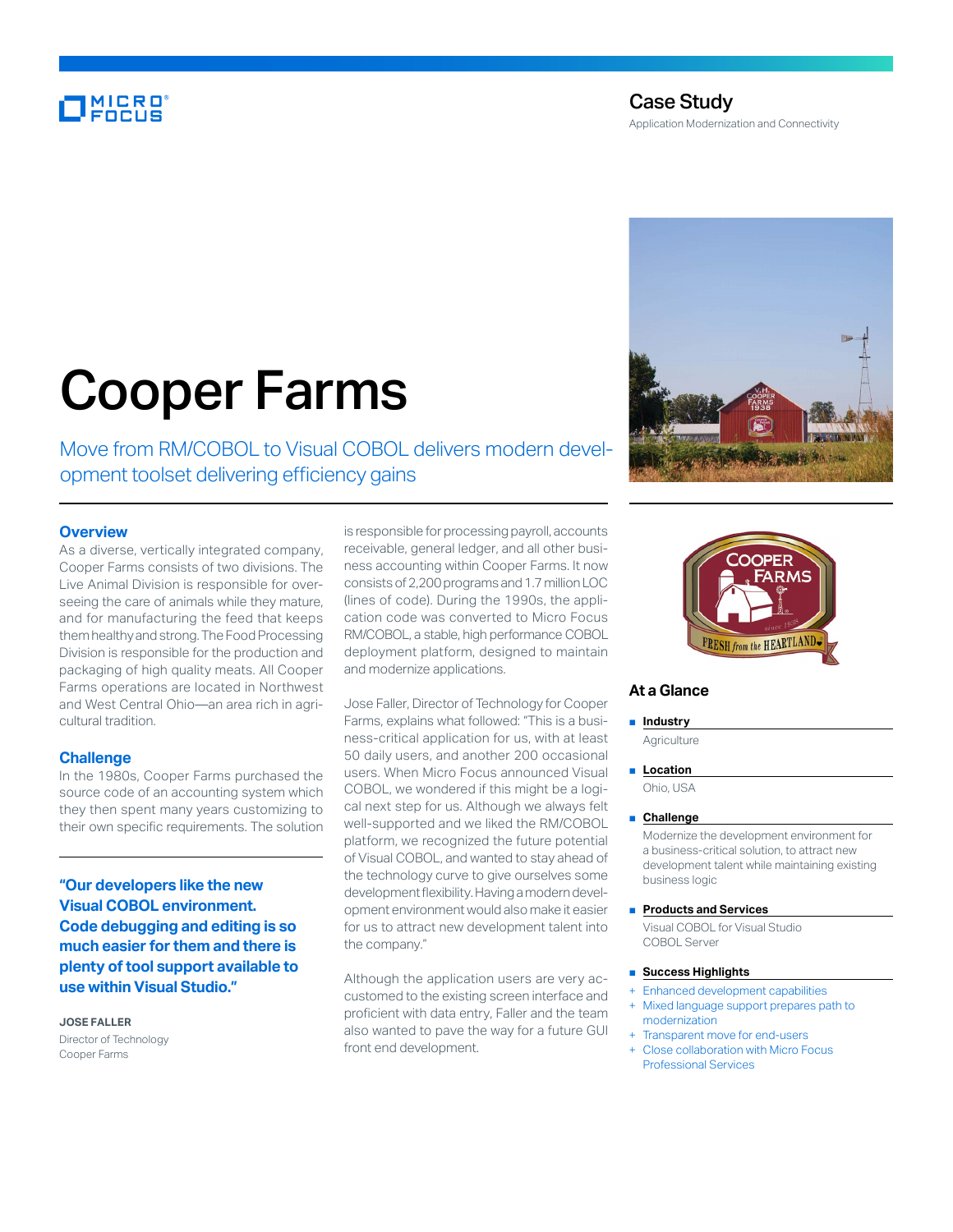## **MICRO**<br>FOCUS

#### Case Study Application Modernization and Connectivity

# Cooper Farms

Move from RM/COBOL to Visual COBOL delivers modern development toolset delivering efficiency gains

#### **Overview**

As a diverse, vertically integrated company, Cooper Farms consists of two divisions. The Live Animal Division is responsible for overseeing the care of animals while they mature, and for manufacturing the feed that keeps them healthy and strong. The Food Processing Division is responsible for the production and packaging of high quality meats. All Cooper Farms operations are located in Northwest and West Central Ohio—an area rich in agricultural tradition.

#### **Challenge**

In the 1980s, Cooper Farms purchased the source code of an accounting system which they then spent many years customizing to their own specific requirements. The solution

**"Our developers like the new Visual COBOL environment. Code debugging and editing is so much easier for them and there is plenty of tool support available to use within Visual Studio."**

**JOSE FALLER** Director of Technology Cooper Farms

is responsible for processing payroll, accounts receivable, general ledger, and all other business accounting within Cooper Farms. It now consists of 2,200 programs and 1.7 million LOC (lines of code). During the 1990s, the application code was converted to Micro Focus RM/COBOL, a stable, high performance COBOL deployment platform, designed to maintain and modernize applications.

Jose Faller, Director of Technology for Cooper Farms, explains what followed: "This is a business-critical application for us, with at least 50 daily users, and another 200 occasional users. When Micro Focus announced Visual COBOL, we wondered if this might be a logical next step for us. Although we always felt well-supported and we liked the RM/COBOL platform, we recognized the future potential of Visual COBOL, and wanted to stay ahead of the technology curve to give ourselves some development flexibility. Having a modern development environment would also make it easier for us to attract new development talent into the company."

Although the application users are very accustomed to the existing screen interface and proficient with data entry, Faller and the team also wanted to pave the way for a future GUI front end development.





#### **At a Glance**

#### ■ **Industry**

**Agriculture** 

■ **Location** Ohio, USA

### ■ **Challenge**

Modernize the development environment for a business-critical solution, to attract new development talent while maintaining existing business logic

■ **Products and Services** 

Visual COBOL for Visual Studio COBOL Server

- **Success Highlights**
- + Enhanced development capabilities
- Mixed language support prepares path to modernization
- Transparent move for end-users + Close collaboration with Micro Focus Professional Services